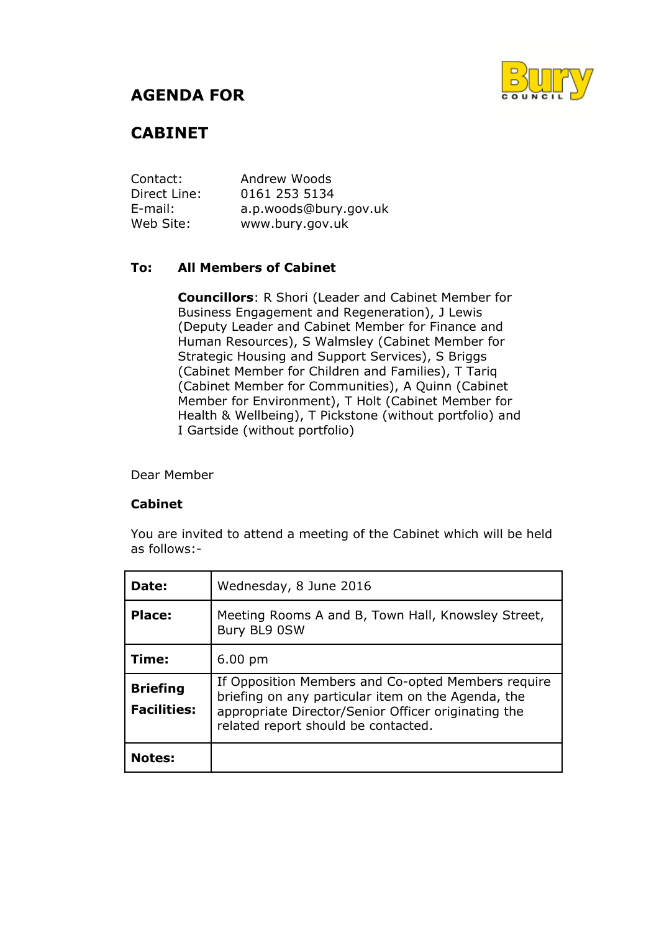## **AGENDA FOR**



# **CABINET**

Contact: Andrew Woods Direct Line: 0161 253 5134 E-mail: a.p.woods@bury.gov.uk Web Site: www.bury.gov.uk

## **To: All Members of Cabinet**

**Councillors**: R Shori (Leader and Cabinet Member for Business Engagement and Regeneration), J Lewis (Deputy Leader and Cabinet Member for Finance and Human Resources), S Walmsley (Cabinet Member for Strategic Housing and Support Services), S Briggs (Cabinet Member for Children and Families), T Tariq (Cabinet Member for Communities), A Quinn (Cabinet Member for Environment), T Holt (Cabinet Member for Health & Wellbeing), T Pickstone (without portfolio) and I Gartside (without portfolio)

Dear Member

### **Cabinet**

You are invited to attend a meeting of the Cabinet which will be held as follows:-

| Date:                                 | Wednesday, 8 June 2016                                                                                                                                                                                 |
|---------------------------------------|--------------------------------------------------------------------------------------------------------------------------------------------------------------------------------------------------------|
| Place:                                | Meeting Rooms A and B, Town Hall, Knowsley Street,<br>Bury BL9 0SW                                                                                                                                     |
| Time:                                 | $6.00 \text{ pm}$                                                                                                                                                                                      |
| <b>Briefing</b><br><b>Facilities:</b> | If Opposition Members and Co-opted Members require<br>briefing on any particular item on the Agenda, the<br>appropriate Director/Senior Officer originating the<br>related report should be contacted. |
| <b>Notes:</b>                         |                                                                                                                                                                                                        |